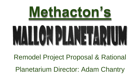

Remodel Project Proposal & Rational Planetarium Director: Adam Chantry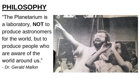## **PHILOSOPHY**

"The Planetarium is a laboratory, **NOT** to produce astronomers for the world, but to produce people who are aware of the world around us."

*- Dr. Gerald Mallon*

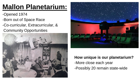### **Mallon Planetarium:**

- -Opened 1974
- -Born out of Space Race
- -Co-curricular, Extracurricular, & Community Opportunities





#### **How unique is our planetarium?**

- -More close each year
- -Possibly 20 remain state-wide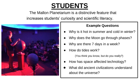#### **STUDENTS**

The Mallon Planetarium is a distinctive feature that increases students' curiosity and scientific literacy.



#### **Example Questions**

- Why is it hot in summer and cold in winter?
- Why does the Moon go through phases?
- Why are there 7 days in a week?
- How do tides work?

(You think you know, but do you really?)

- How has space affected technology?
- What did ancient civilizations understand about the universe?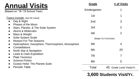### **Annual Visits**

**Grade # of Visits**  Kindergarten 1986 1986 ble det generale ble det generale ble det grundlage i den med til 1986 ble det grundlag 1st 1 2nd 3 3rd 2 4th 2 (Begin Co-Curricular) 5th 4 6th 20 7th 7 8th 5 Total 45 Grade Level Visits/Yr. (Based on '18-'19 School Year) Topics Include: (Not All Listed) ● Day & Night Phases of the Moon Stars, Planets, & The Solar System ● Atoms & Molecules Mass & Weight ● Solar System Scale ● Reason For The Seasons Hydrosphere, Geosphere, Thermosphere, Atmosphere ● Constellations North Star & Navigation ● Lewis & Clark Expedition **Plate Tectonics Science Fiction** Gustav Holst: The Planets Suite **Periodic Table** 

**3,600 Students Visit/Yr.**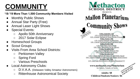### **COMMUNITY**

**'18-'19 More Than 1,500 Community Members Visited**

- Monthly Public Shows
- Annual Star Party (Free)
- Annual Laser Light Shows
- **Special Events:** 
	- Apollo 50th Anniversary
	- 2017 Solar Eclipse
- **Homeschool Groups**
- **Scout Groups**
- Visits From Area School Districts:
	- Perkiomen Valley
	- Spring Ford
	- Various Preschools
- **Local Astronomy Clubs:** 
	- D.V.A.A. (Delaware Valley Amaetur Astronomers)
	- Rittenhouse Astronomical Society

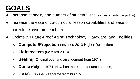#### **GOALS**

- Increase capacity and number of student visits (eliminate center projection)
- Increase the ease of co-curricular lesson capabilities and ease of use with classroom teachers
- Update & Future-Proof Aging Technology, Hardware, and Facilities
	- **Computer/Projection** (installed 2013-Higher Resolution)
	- **Light system** (installed 2013)
	- **Seating** (Original post and arrangement from 1974)
	- **Dome** (Original 1974 -New has more maintenance options)
	- **HVAC** (Original separate from building)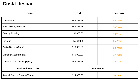#### **Cost/Lifespan**

| <b>Item</b>                           | <b>Cost</b>  | Lifespan      |
|---------------------------------------|--------------|---------------|
| Dome (Spitz)                          | \$200,000.00 | 50 Years      |
| <b>HVAC/Wiring/Facilities</b>         | \$225,000.00 | 50 Years      |
| Seating/Flooring                      | \$50,000.00  | 25 Years      |
| Signage                               | \$7,000.00   | 25 Years      |
| Audio System (Spitz)                  | \$18,000.00  | 20 Years      |
| Lighting System (Spitz)               | \$40,000.00  | 20 Years      |
| Computers/Projectors (Spitz)          | \$310,000.00 | 10 Years      |
| <b>Total Estimated Cost</b>           | \$850,000.00 |               |
| <b>Annual Service Contract/Budget</b> | \$14,000.00  | <b>Annual</b> |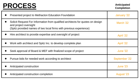#### **PROCESS Anticipated**

**Completion**

| <b>Presented project to Methacton Education Foundation</b>                                                                                                                    | January '22       |
|-------------------------------------------------------------------------------------------------------------------------------------------------------------------------------|-------------------|
| Solicit Request For Information from qualified architects for quotes on design<br>and project oversight<br>(Spitz provided names of two local firms with previous experience) | March '22         |
| Hire architect to provide expertise and oversight of project                                                                                                                  | <b>April '22</b>  |
| Work with architect and Spitz Inc. to develop complete plan                                                                                                                   | <b>April '22</b>  |
| Seek approval of Board & MEF with finalized scope of project                                                                                                                  | June '22          |
| Pursue bids for needed work according to architect                                                                                                                            | September '22     |
| Anticipated construction                                                                                                                                                      | June '23          |
| Anticipated construction completion                                                                                                                                           | <b>August '23</b> |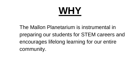# **WHY**

The Mallon Planetarium is instrumental in preparing our students for STEM careers and encourages lifelong learning for our entire community.